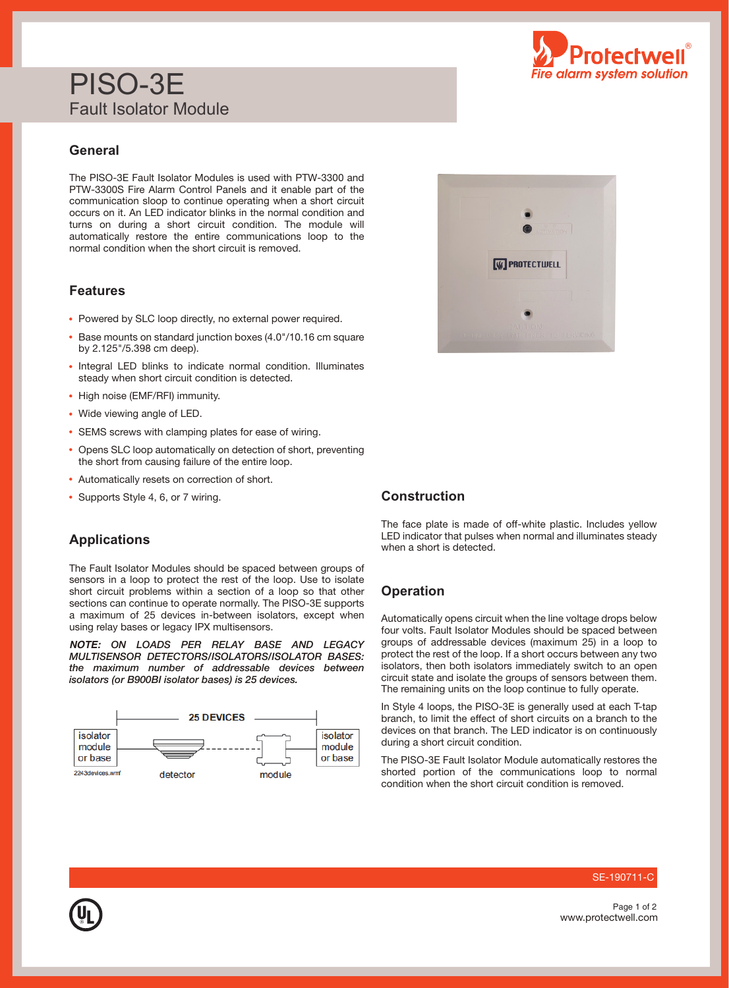# PISO-3E Fault Isolator Module

## **General**

The PISO-3E Fault Isolator Modules is used with PTW-3300 and PTW-3300S Fire Alarm Control Panels and it enable part of the communication sloop to continue operating when a short circuit occurs on it. An LED indicator blinks in the normal condition and turns on during a short circuit condition. The module will automatically restore the entire communications loop to the normal condition when the short circuit is removed.

## **Features**

- Powered by SLC loop directly, no external power required.
- Base mounts on standard junction boxes (4.0"/10.16 cm square by 2.125"/5.398 cm deep).
- Integral LED blinks to indicate normal condition. Illuminates steady when short circuit condition is detected.
- High noise (EMF/RFI) immunity.
- Wide viewing angle of LED.
- SEMS screws with clamping plates for ease of wiring.
- Opens SLC loop automatically on detection of short, preventing the short from causing failure of the entire loop.
- Automatically resets on correction of short.
- Supports Style 4, 6, or 7 wiring.

## **Applications**

The Fault Isolator Modules should be spaced between groups of sensors in a loop to protect the rest of the loop. Use to isolate short circuit problems within a section of a loop so that other sections can continue to operate normally. The PISO-3E supports a maximum of 25 devices in-between isolators, except when using relay bases or legacy IPX multisensors.

*NOTE:* ON LOADS PER RELAY BASE AND LEGACY MULTISENSOR DETECTORS/ISOLATORS/ISOLATOR BASES: the maximum number of addressable devices between isolators (or B900BI isolator bases) is 25 devices.







### **Construction**

The face plate is made of off-white plastic. Includes yellow LED indicator that pulses when normal and illuminates steady when a short is detected.

### **Operation**

Automatically opens circuit when the line voltage drops below four volts. Fault Isolator Modules should be spaced between groups of addressable devices (maximum 25) in a loop to protect the rest of the loop. If a short occurs between any two isolators, then both isolators immediately switch to an open circuit state and isolate the groups of sensors between them. The remaining units on the loop continue to fully operate.

In Style 4 loops, the PISO-3E is generally used at each T-tap branch, to limit the effect of short circuits on a branch to the devices on that branch. The LED indicator is on continuously during a short circuit condition.

The PISO-3E Fault Isolator Module automatically restores the shorted portion of the communications loop to normal condition when the short circuit condition is removed.

#### SE-190711-C

www.protectwell.com Page 1 of 2